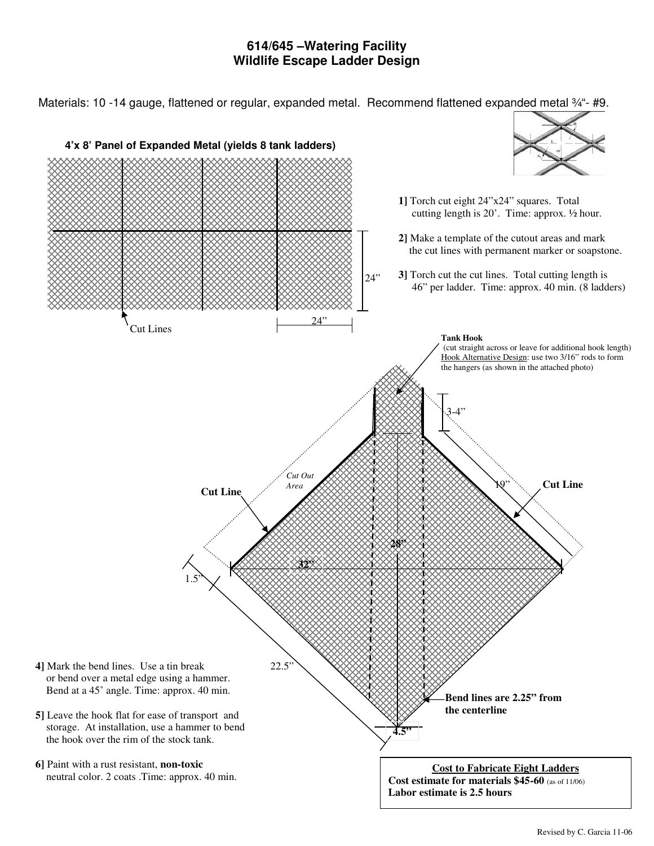## **614/645 –Watering Facility Wildlife Escape Ladder Design**

Materials: 10 -14 gauge, flattened or regular, expanded metal. Recommend flattened expanded metal 3/4"- #9.